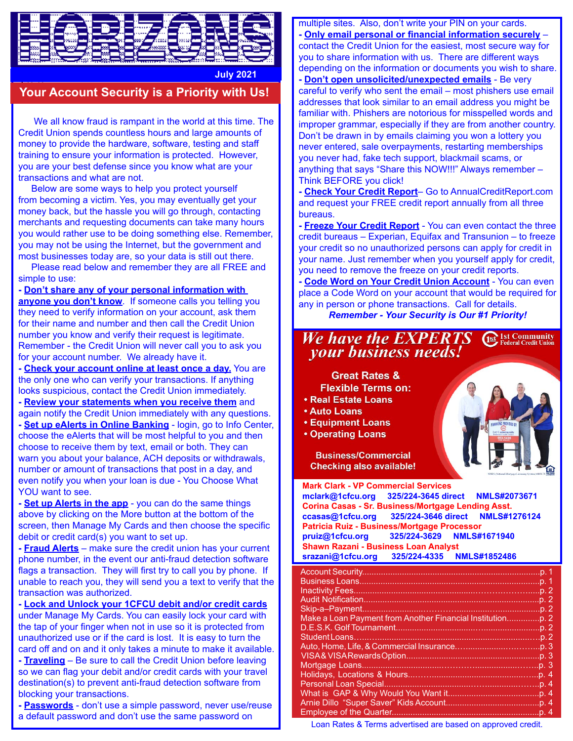

**July 2021**

## **Your Account Security is a Priority with Us!**

 We all know fraud is rampant in the world at this time. The Credit Union spends countless hours and large amounts of money to provide the hardware, software, testing and staff training to ensure your information is protected. However, you are your best defense since you know what are your transactions and what are not.

 Below are some ways to help you protect yourself from becoming a victim. Yes, you may eventually get your money back, but the hassle you will go through, contacting merchants and requesting documents can take many hours you would rather use to be doing something else. Remember, you may not be using the Internet, but the government and most businesses today are, so your data is still out there.

 Please read below and remember they are all FREE and simple to use:

**- Don't share any of your personal information with anyone you don't know**. If someone calls you telling you they need to verify information on your account, ask them for their name and number and then call the Credit Union number you know and verify their request is legitimate. Remember - the Credit Union will never call you to ask you for your account number. We already have it.

**- Check your account online at least once a day.** You are the only one who can verify your transactions. If anything looks suspicious, contact the Credit Union immediately.

**- Review your statements when you receive them** and again notify the Credit Union immediately with any questions. **- Set up eAlerts in Online Banking** - login, go to Info Center, choose the eAlerts that will be most helpful to you and then choose to receive them by text, email or both. They can warn you about your balance, ACH deposits or withdrawals, number or amount of transactions that post in a day, and

even notify you when your loan is due - You Choose What YOU want to see. **- Set up Alerts in the app** - you can do the same things

above by clicking on the More button at the bottom of the screen, then Manage My Cards and then choose the specific debit or credit card(s) you want to set up.

**- Fraud Alerts** – make sure the credit union has your current phone number, in the event our anti-fraud detection software flags a transaction. They will first try to call you by phone. If unable to reach you, they will send you a text to verify that the transaction was authorized.

**- Lock and Unlock your 1CFCU debit and/or credit cards** under Manage My Cards. You can easily lock your card with the tap of your finger when not in use so it is protected from unauthorized use or if the card is lost. It is easy to turn the card off and on and it only takes a minute to make it available. **- Traveling** – Be sure to call the Credit Union before leaving so we can flag your debit and/or credit cards with your travel destination(s) to prevent anti-fraud detection software from blocking your transactions.

**- Passwords** - don't use a simple password, never use/reuse a default password and don't use the same password on

multiple sites. Also, don't write your PIN on your cards.

**- Only email personal or financial information securely** – contact the Credit Union for the easiest, most secure way for you to share information with us. There are different ways depending on the information or documents you wish to share. **- Don't open unsolicited/unexpected emails** - Be very

careful to verify who sent the email – most phishers use email addresses that look similar to an email address you might be familiar with. Phishers are notorious for misspelled words and improper grammar, especially if they are from another country. Don't be drawn in by emails claiming you won a lottery you never entered, sale overpayments, restarting memberships you never had, fake tech support, blackmail scams, or anything that says "Share this NOW!!!" Always remember – Think BEFORE you click!

**- Check Your Credit Report**– Go to AnnualCreditReport.com and request your FREE credit report annually from all three bureaus.

**- Freeze Your Credit Report** - You can even contact the three credit bureaus – Experian, Equifax and Transunion – to freeze your credit so no unauthorized persons can apply for credit in your name. Just remember when you yourself apply for credit, you need to remove the freeze on your credit reports.

**- Code Word on Your Credit Union Account** - You can even place a Code Word on your account that would be required for any in person or phone transactions. Call for details.

## *Remember - Your Security is Our #1 Priority!*

#### **Ast 1st Community** We have the **EXPERTS** *vour business needs!*

**Great Rates & Flexible Terms on: Real Estate Loans** 

- **Auto Loans**
- **Equipment Loans**
- **Operating Loans**

**Business/Commercial Checking also available!** 

**Mark Clark - VP Commercial Services mclark@1cfcu.org 325/224-3645 direct NMLS#2073671 Corina Casas - Sr. Business/Mortgage Lending Asst. ccasas@1cfcu.org 325/224-3646 direct NMLS#1276124 Patricia Ruiz - Business/Mortgage Processor pruiz@1cfcu.org 325/224-3629 NMLS#1671940 Shawn Razani - Business Loan Analyst<br>srazani@1cfcu.org 325/224-4335 N srazani@1cfcu.org 325/224-4335 NMLS#1852486**

| Skip-a-Payment        |  |
|-----------------------|--|
|                       |  |
|                       |  |
|                       |  |
|                       |  |
|                       |  |
|                       |  |
|                       |  |
| Personal Loan Special |  |
|                       |  |
|                       |  |
|                       |  |
|                       |  |

Loan Rates & Terms advertised are based on approved credit.

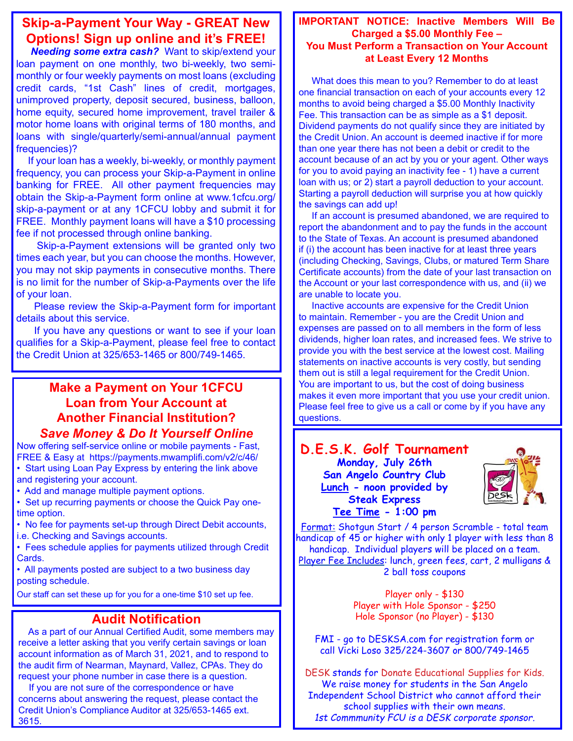## **Skip-a-Payment Your Way - GREAT New Options! Sign up online and it's FREE!**

 *Needing some extra cash?* Want to skip/extend your loan payment on one monthly, two bi-weekly, two semimonthly or four weekly payments on most loans (excluding credit cards, "1st Cash" lines of credit, mortgages, unimproved property, deposit secured, business, balloon, home equity, secured home improvement, travel trailer & motor home loans with original terms of 180 months, and loans with single/quarterly/semi-annual/annual payment frequencies)?

 If your loan has a weekly, bi-weekly, or monthly payment frequency, you can process your Skip-a-Payment in online banking for FREE. All other payment frequencies may obtain the Skip-a-Payment form online at www.1cfcu.org/ skip-a-payment or at any 1CFCU lobby and submit it for FREE. Monthly payment loans will have a \$10 processing fee if not processed through online banking.

 Skip-a-Payment extensions will be granted only two times each year, but you can choose the months. However, you may not skip payments in consecutive months. There is no limit for the number of Skip-a-Payments over the life of your loan.

 Please review the Skip-a-Payment form for important details about this service.

 If you have any questions or want to see if your loan qualifies for a Skip-a-Payment, please feel free to contact the Credit Union at 325/653-1465 or 800/749-1465.

### **Make a Payment on Your 1CFCU Loan from Your Account at Another Financial Institution?** *Save Money & Do It Yourself Online*

Now offering self-service online or mobile payments - Fast, FREE & Easy at https://payments.mwamplifi.com/v2/c/46/

• Start using Loan Pay Express by entering the link above and registering your account.

• Add and manage multiple payment options.

• Set up recurring payments or choose the Quick Pay onetime option.

• No fee for payments set-up through Direct Debit accounts, i.e. Checking and Savings accounts.

• Fees schedule applies for payments utilized through Credit Cards.

• All payments posted are subject to a two business day posting schedule.

Our staff can set these up for you for a one-time \$10 set up fee.

### **Audit Notification**

 As a part of our Annual Certified Audit, some members may receive a letter asking that you verify certain savings or loan account information as of March 31, 2021, and to respond to the audit firm of Nearman, Maynard, Vallez, CPAs. They do request your phone number in case there is a question.

 If you are not sure of the correspondence or have concerns about answering the request, please contact the Credit Union's Compliance Auditor at 325/653-1465 ext. 3615.

#### **IMPORTANT NOTICE: Inactive Members Will Be Charged a \$5.00 Monthly Fee – You Must Perform a Transaction on Your Account at Least Every 12 Months**

 What does this mean to you? Remember to do at least one financial transaction on each of your accounts every 12 months to avoid being charged a \$5.00 Monthly Inactivity Fee. This transaction can be as simple as a \$1 deposit. Dividend payments do not qualify since they are initiated by the Credit Union. An account is deemed inactive if for more than one year there has not been a debit or credit to the account because of an act by you or your agent. Other ways for you to avoid paying an inactivity fee - 1) have a current loan with us; or 2) start a payroll deduction to your account. Starting a payroll deduction will surprise you at how quickly the savings can add up!

 If an account is presumed abandoned, we are required to report the abandonment and to pay the funds in the account to the State of Texas. An account is presumed abandoned if (i) the account has been inactive for at least three years (including Checking, Savings, Clubs, or matured Term Share Certificate accounts) from the date of your last transaction on the Account or your last correspondence with us, and (ii) we are unable to locate you.

 Inactive accounts are expensive for the Credit Union to maintain. Remember - you are the Credit Union and expenses are passed on to all members in the form of less dividends, higher loan rates, and increased fees. We strive to provide you with the best service at the lowest cost. Mailing statements on inactive accounts is very costly, but sending them out is still a legal requirement for the Credit Union. You are important to us, but the cost of doing business makes it even more important that you use your credit union. Please feel free to give us a call or come by if you have any questions.

#### **D.E.S.K. Golf Tournament Monday, July 26th San Angelo Country Club Lunch - noon provided by Steak Express Tee Time - 1:00 pm**



Format: Shotgun Start / 4 person Scramble - total team handicap of 45 or higher with only 1 player with less than 8 handicap. Individual players will be placed on a team. Player Fee Includes: lunch, green fees, cart, 2 mulligans & 2 ball toss coupons

> Player only - \$130 Player with Hole Sponsor - \$250 Hole Sponsor (no Player) - \$130

FMI - go to DESKSA.com for registration form or call Vicki Loso 325/224-3607 or 800/749-1465

DESK stands for Donate Educational Supplies for Kids. We raise money for students in the San Angelo Independent School District who cannot afford their school supplies with their own means. *1st Commmunity FCU is a DESK corporate sponsor.*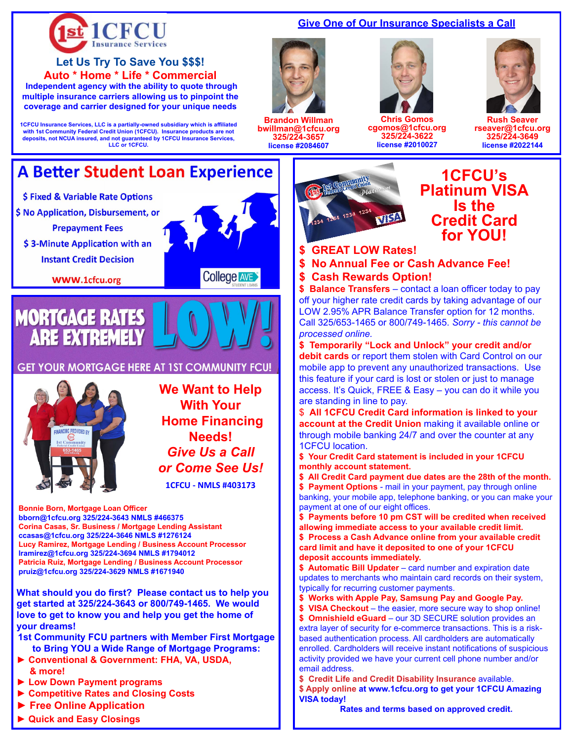

#### **Give One of Our Insurance Specialists a Call**



**Brandon Willman bwillman@1cfcu.org 325/224-3657 license #2084607** 



**Chris Gomos cgomos@1cfcu.org 325/224-3622 license #2010027**



**Rush Seaver rseaver@1cfcu.org 325/224-3649 license #2022144** 



## **1CFCU's Platinum VISA Is the Credit Card for YOU!**

**\$ GREAT LOW Rates!**

**\$ No Annual Fee or Cash Advance Fee! \$ Cash Rewards Option!**

**\$ Balance Transfers** – contact a loan officer today to pay off your higher rate credit cards by taking advantage of our LOW 2.95% APR Balance Transfer option for 12 months. Call 325/653-1465 or 800/749-1465. *Sorry - this cannot be processed online.*

**\$ Temporarily "Lock and Unlock" your credit and/or debit cards** or report them stolen with Card Control on our mobile app to prevent any unauthorized transactions. Use this feature if your card is lost or stolen or just to manage access. It's Quick, FREE & Easy – you can do it while you are standing in line to pay.

\$ **All 1CFCU Credit Card information is linked to your account at the Credit Union** making it available online or through mobile banking 24/7 and over the counter at any 1CFCU location.

**\$ Your Credit Card statement is included in your 1CFCU monthly account statement.**

**\$ All Credit Card payment due dates are the 28th of the month. \$ Payment Options** - mail in your payment, pay through online banking, your mobile app, telephone banking, or you can make your payment at one of our eight offices.

**\$ Payments before 10 pm CST will be credited when received allowing immediate access to your available credit limit. \$ Process a Cash Advance online from your available credit card limit and have it deposited to one of your 1CFCU deposit accounts immediately.**

**\$ Automatic Bill Updater** – card number and expiration date updates to merchants who maintain card records on their system, typically for recurring customer payments.

**\$ Works with Apple Pay, Samsung Pay and Google Pay.**

**\$ VISA Checkout** – the easier, more secure way to shop online! **\$ Omnishield eGuard** – our 3D SECURE solution provides an extra layer of security for e-commerce transactions. This is a riskbased authentication process. All cardholders are automatically enrolled. Cardholders will receive instant notifications of suspicious activity provided we have your current cell phone number and/or email address.

**\$ Credit Life and Credit Disability Insurance** available. **\$ Apply online at www.1cfcu.org to get your 1CFCU Amazing VISA today!**

**Rates and terms based on approved credit.**

**coverage and carrier designed for your unique needs** 1CFCU Insurance Services, LLC is a partially-owned subsidiary which is affiliated<br>with 1st Community Federal Credit Union (1CFCU). Insurance products are not<br>deposits, not NCUA insured, and not guaranteed by 1CFCU Insuranc **LLC or 1CFCU.**

**Let Us Try To Save You \$\$\$! Auto \* Home \* Life \* Commercial Independent agency with the ability to quote through multiple insurance carriers allowing us to pinpoint the** 

## **A Better Student Loan Experience**

- \$ Fixed & Variable Rate Options
- \$ No Application, Disbursement, or
	- **Prepayment Fees**
	- \$3-Minute Application with an **Instant Credit Decision**

**WWW.1cfcu.org** 



#### **GET YOUR MORTGAGE HERE AT 1ST COMMUNITY FCU!**



**We Want to Help With Your Home Financing Needs!** *Give Us a Call or Come See Us!* **1CFCU - NMLS #403173**

**Bonnie Born, Mortgage Loan Officer bborn@1cfcu.org 325/224-3643 NMLS #466375 Corina Casas, Sr. Business / Mortgage Lending Assistant ccasas@1cfcu.org 325/224-3646 NMLS #1276124 Lucy Ramirez, Mortgage Lending / Business Account Processor lramirez@1cfcu.org 325/224-3694 NMLS #1794012 Patricia Ruiz, Mortgage Lending / Business Account Processor pruiz@1cfcu.org 325/224-3629 NMLS #1671940**

**What should you do first? Please contact us to help you get started at 325/224-3643 or 800/749-1465. We would love to get to know you and help you get the home of your dreams!**

- **1st Community FCU partners with Member First Mortgage to Bring YOU a Wide Range of Mortgage Programs:**
- **► Conventional & Government: FHA, VA, USDA, & more!**
- **► Low Down Payment programs**
- **► Competitive Rates and Closing Costs**
- **► Free Online Application**
- **► Quick and Easy Closings**